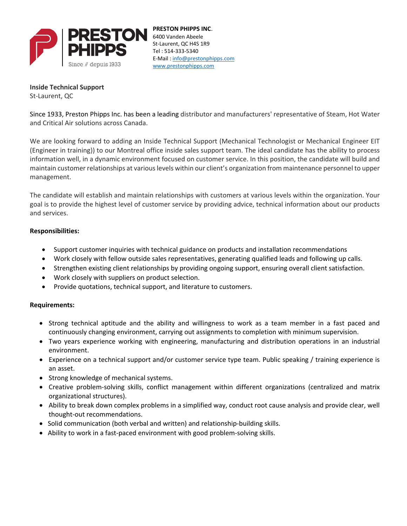

**PRESTON PHIPPS INC**. St-Laurent, QC H4S 1R9 Tel : 514-333-5340 E-Mail : info@prestonphipps.com www.prestonphipps.com

**Inside Technical Support** St-Laurent, QC

Since 1933, Preston Phipps Inc. has been a leading distributor and manufacturers' representative of Steam, Hot Water and Critical Air solutions across Canada.

We are looking forward to adding an Inside Technical Support (Mechanical Technologist or Mechanical Engineer EIT (Engineer in training)) to our Montreal office inside sales support team. The ideal candidate has the ability to process information well, in a dynamic environment focused on customer service. In this position, the candidate will build and maintain customer relationships at various levels within our client's organization from maintenance personnel to upper management.

The candidate will establish and maintain relationships with customers at various levels within the organization. Your goal is to provide the highest level of customer service by providing advice, technical information about our products and services.

## **Responsibilities:**

- Support customer inquiries with technical guidance on products and installation recommendations
- Work closely with fellow outside sales representatives, generating qualified leads and following up calls.
- Strengthen existing client relationships by providing ongoing support, ensuring overall client satisfaction.
- Work closely with suppliers on product selection.
- Provide quotations, technical support, and literature to customers.

## **Requirements:**

- Strong technical aptitude and the ability and willingness to work as a team member in a fast paced and continuously changing environment, carrying out assignments to completion with minimum supervision.
- Two years experience working with engineering, manufacturing and distribution operations in an industrial environment.
- Experience on a technical support and/or customer service type team. Public speaking / training experience is an asset.
- Strong knowledge of mechanical systems.
- Creative problem-solving skills, conflict management within different organizations (centralized and matrix organizational structures).
- Ability to break down complex problems in a simplified way, conduct root cause analysis and provide clear, well thought-out recommendations.
- Solid communication (both verbal and written) and relationship-building skills.
- Ability to work in a fast-paced environment with good problem-solving skills.